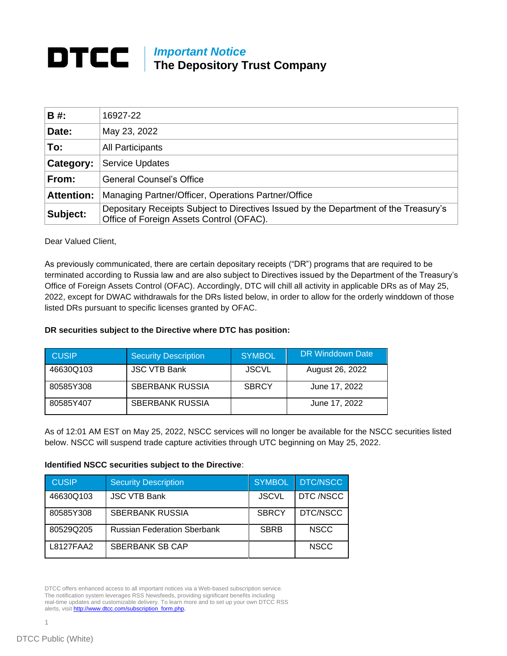## **DTCC** | *Important Notice* **The Depository Trust Company**

| B #:              | 16927-22                                                                                                                         |
|-------------------|----------------------------------------------------------------------------------------------------------------------------------|
| Date:             | May 23, 2022                                                                                                                     |
| To:               | <b>All Participants</b>                                                                                                          |
| Category:         | <b>Service Updates</b>                                                                                                           |
| From:             | General Counsel's Office                                                                                                         |
| <b>Attention:</b> | Managing Partner/Officer, Operations Partner/Office                                                                              |
| Subject:          | Depositary Receipts Subject to Directives Issued by the Department of the Treasury's<br>Office of Foreign Assets Control (OFAC). |

Dear Valued Client,

As previously communicated, there are certain depositary receipts ("DR") programs that are required to be terminated according to Russia law and are also subject to Directives issued by the Department of the Treasury's Office of Foreign Assets Control (OFAC). Accordingly, DTC will chill all activity in applicable DRs as of May 25, 2022, except for DWAC withdrawals for the DRs listed below, in order to allow for the orderly winddown of those listed DRs pursuant to specific licenses granted by OFAC.

## **DR securities subject to the Directive where DTC has position:**

| <b>CUSIP</b> | <b>Security Description</b> | <b>SYMBOL</b> | DR Winddown Date |
|--------------|-----------------------------|---------------|------------------|
| 46630Q103    | <b>JSC VTB Bank</b>         | <b>JSCVL</b>  | August 26, 2022  |
| 80585Y308    | <b>SBERBANK RUSSIA</b>      | <b>SBRCY</b>  | June 17, 2022    |
| 80585Y407    | <b>SBERBANK RUSSIA</b>      |               | June 17, 2022    |

As of 12:01 AM EST on May 25, 2022, NSCC services will no longer be available for the NSCC securities listed below. NSCC will suspend trade capture activities through UTC beginning on May 25, 2022.

## **Identified NSCC securities subject to the Directive**:

| <b>CUSIP</b> | <b>Security Description</b>        | <b>SYMBOL</b> | <b>DTC/NSCC</b> |
|--------------|------------------------------------|---------------|-----------------|
| 46630Q103    | <b>JSC VTB Bank</b>                | <b>JSCVL</b>  | DTC /NSCC       |
| 80585Y308    | <b>SBERBANK RUSSIA</b>             | <b>SBRCY</b>  | DTC/NSCC        |
| 80529Q205    | <b>Russian Federation Sberbank</b> | <b>SBRB</b>   | <b>NSCC</b>     |
| L8127FAA2    | <b>SBERBANK SB CAP</b>             |               | <b>NSCC</b>     |

DTCC offers enhanced access to all important notices via a Web-based subscription service. The notification system leverages RSS Newsfeeds, providing significant benefits including real-time updates and customizable delivery. To learn more and to set up your own DTCC RSS alerts, visit http://www.dtcc.com/subscription\_form.php.

1